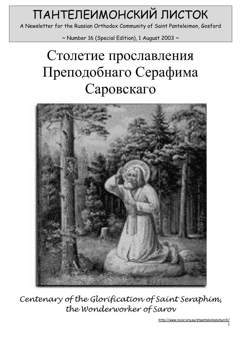# ПАНТЕЛЕИМОНСКИЙ ЛИСТОК

A Newsletter for the Russian Orthodox Community of Saint Panteleimon, Gosford

 $\sim$  Number 16 (Special Edition), 1 August 2003  $\sim$ 

## Столетие прославления Преподобнаго Серафима Саровскаго



Centenary of the Glorification of Saint Seraphim, the Wonderworker of Sarov

http://www.rocor.org.au/stpanteleimonchurch/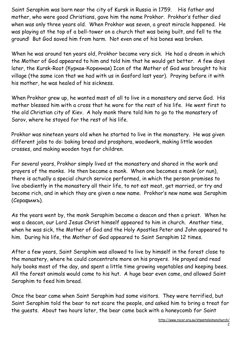Saint Seraphim was born near the city of Kursk in Russia in 1759. His father and mother, who were good Christians, gave him the name Prokhor. Prokhor's father died when was only three years old. When Prokhor was seven, a great miracle happened. He was playing at the top of a bell-tower on a church that was being built, and fell to the ground! But God saved him from harm. Not even one of his bones was broken.

When he was around ten years old, Prokhor became very sick. He had a dream in which the Mother of God appeared to him and told him that he would get better. A few days later, the Kursk-Root (Куркая-Коренная) Icon of the Mother of God was brought to his village (the same icon that we had with us in Gosford last year). Praying before it with his mother, he was healed of his sickness.

When Prokhor grew up, he wanted most of all to live in a monastery and serve God. His mother blessed him with a cross that he wore for the rest of his life. He went first to the old Christian city of Kiev. A holy monk there told him to go to the monastery of Sarov, where he stayed for the rest of his life.

Prokhor was nineteen years old when he started to live in the monastery. He was given different jobs to do: baking bread and prosphora, woodwork, making little wooden crosses, and making wooden toys for children.

For several years, Prokhor simply lived at the monastery and shared in the work and prayers of the monks. He then became a monk. When one becomes a monk (or nun), there is actually a special church service performed, in which the person promises to live obediently in the monastery all their life, to not eat meat, get married, or try and become rich, and in which they are given a new name. Prokhor's new name was Seraphim (Серафимъ).

As the years went by, the monk Seraphim became a deacon and then a priest. When he was a deacon, our Lord Jesus Christ himself appeared to him in church. Another time, when he was sick, the Mother of God and the Holy Apostles Peter and John appeared to him. During his life, the Mother of God appeared to Saint Seraphim 12 times.

After a few years, Saint Seraphim was allowed to live by himself in the forest close to the monastery, where he could concentrate more on his prayers. He prayed and read holy books most of the day, and spent a little time growing vegetables and keeping bees. All the forest animals would come to his hut. A huge bear even came, and allowed Saint Seraphim to feed him bread.

Once the bear came when Saint Seraphim had some visitors. They were terrified, but Saint Seraphim told the bear to not scare the people, and asked him to bring a treat for the guests. About two hours later, the bear came back with a honeycomb for Saint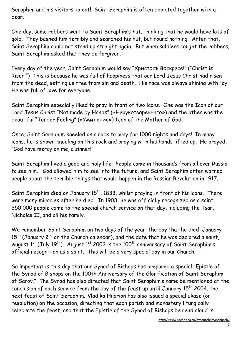Seraphim and his visitors to eat! Saint Seraphim is often depicted together with a bear.

One day, some robbers went to Saint Seraphim's hut, thinking that he would have lots of gold. They bashed him terribly and searched his hut, but found nothing. After that, Saint Seraphim could not stand up straight again. But when soldiers caught the robbers, Saint Seraphim asked that they be forgiven.

Every day of the year, Saint Seraphim would say "Христосъ Воскресе!" ("Christ is Risen!") This is because he was full of happiness that our Lord Jesus Christ had risen from the dead, setting us free from sin and death. His face was always shining with joy. He was full of love for everyone.

Saint Seraphim especially liked to pray in front of two icons. One was the Icon of our Lord Jesus Christ "Not made by Hands" («Нерукотвореннаго») and the other was the beautiful "Tender Feeling" («Умиление») Icon of the Mother of God.

Once, Saint Seraphim kneeled on a rock to pray for 1000 nights and days! In many icons, he is shown kneeling on this rock and praying with his hands lifted up. He prayed, "God have mercy on me, a sinner!"

Saint Seraphim lived a good and holy life. People came in thousands from all over Russia to see him. God allowed him to see into the future, and Saint Seraphim often warned people about the terrible things that would happen in the Russian Revolution in 1917.

Saint Seraphim died on January  $15<sup>th</sup>$ , 1833, whilst praying in front of his icons. There were many miracles after he died. In 1903, he was officially recognized as a saint. 350 000 people came to the special church service on that day, including the Tsar, Nicholas II, and all his family.

We remember Saint Seraphim on two days of the year: the day that he died, January  $15<sup>th</sup>$  (January 2<sup>nd</sup> on the Church calendar), and the date that he was declared a saint, August  $1^{st}$  (July 19<sup>th</sup>). August  $1^{st}$  2003 is the 100<sup>th</sup> anniversary of Saint Seraphim's official recognition as a saint. This will be a very special day in our Church.

So important is this day that our Synod of Bishops has prepared a special "Epistle of the Synod of Bishops on the 100th Anniversary of the Glorification of Saint Seraphim of Sarov." The Synod has also directed that Saint Seraphim's name be mentioned at the conclusion of each service from the day of the feast up until January 15<sup>th</sup> 2004, the next feast of Saint Seraphim. Vladika Hilarion has also issued a special ukase (or resolution) on the occasion, directing that each parish and monastery liturgically celebrate the feast, and that the Epistle of the Synod of Bishops be read aloud in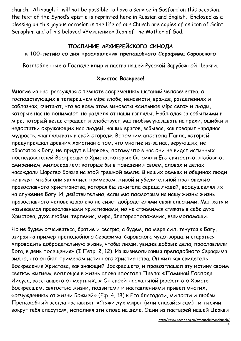church. Although it will not be possible to have a service in Gosford on this occasion, the text of the Synod's epistle is reprinted here in Russian and English. Enclosed as a blessing on this joyous occasion in the life of our Church are copies of an icon of Saint Seraphim and of his beloved «Умиление» Icon of the Mother of God.

#### ПОСЛАНИЕ АРХИЕРЕЙСКОГО СИНОДА

#### к 100-летию со дня прославления преподобного Серафима Саровского

Возлюбленные о Господе клир и паства нашей Русской Зарубежной Церкви,

#### Христос Воскресе!

Многие из нас, рассуждая о темноте современных шатаний человечества, о господствующих в теперешнем мiре злобе, ненависти, вражде, разделениях и соблазнах; считают, что во всем этом виноваты «сильные мiра сего» и люди, которые нас не понимают, не разделяют наши взгляды. Наблюдая за событиями в мiре, который везде страдает и злобствует, мы любим указывать на грехи, ошибки и недостатки окружающих нас людей, наших врагов, забывая, как говорит народная мудрость, «заглядывать в свой огород». Вспомним апостола Павла, который предупреждал древних христиан о том, что многие из-за нас, верующих, не обратятся к Богу, не придут в Церковь, потому что в нас они не видят истинных последователей Воскресшего Христа, которые бы сияли Его святостью, любовью, смирением, милосердием; которые бы в поведении своем, словах и делах насаждали Царство Божие на этой грешной земле. В наших семьях и общинах люди не видят, чтобы они являлись примером, живой и убедительной проповедью православного христианства, которая бы зажигала сердца людей, воодушевляя их на служение Богу. И, действительно, если мы посмотрим на нашу жизнь: жизнь православного человека далеко не сияет добродетелями евангельскими. Мы, хотя и называемся православными христианами, но не стремимся стяжать в себе духа Христова, духа любви, терпения, мира, благорасположения, взаимопомощи.

Но не будем отчаиваться, братие и сестры, а будем, по мере сил, тянутся к Богу, взирая на пример преподобного Серафима, Саровского чудотворца, и стараться «проводить добродетельную жизнь, чтобы люди, увидев добрые дела, прославляли Бога, в день посещения» (I Петр. 2, 12). Из жизнеописания преподобного Серафима видно, что он был примером истинного христианства. Он жил как свидетель Воскресения Христова, как знающий Воскресшего, и провозглашал эту истину своим святым житием, воплощая в жизнь слова апостола Павла: «Поминай Господа Иисуса, восставшего от мертвых...» Он своей пасхальной радостью о Христе Воскресшем, святостью жизни, подвигами и наставлениями привел многих, «отчужденных от жизни Божией» (Еф. 4, 18) к Его благодати, милости и любви. Преподобный всегда наставлял: «Стяжи дух мирен (или спасайся сам) , и тысячи вокруг тебя спасутся», исполняя эти слова на деле. Один из пастырей нашей Церкви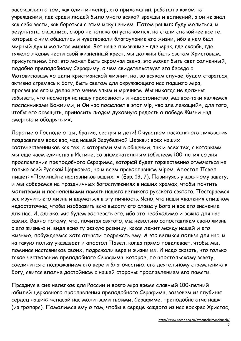рассказывал о том, как один инженер, его прихожанин, работал в каком-то учреждении, где среди людей было много всякой вражды и волнений, а он не знал как себя вести, как бороться с этим искушением. Потом решил: буду молиться, и результаты сказались, скоро не только он успокоился, но стали спокойнее все те, которые с ним общались и чувствовали благоухание его жизни, ибо в нем был мирный дух и молитва мирная. Вот наше призвание – где мрак, где скорбь, где тяжело людям нести свой жизненный крест, мы должны быть светом Христовым, присутствием Его; это может быть скромная свеча, это может быть свет солнечный, подобно преподобному Серафиму, о чем свидетельствует его беседа с Мотовиловым «о цели христианской жизни», но, во всяком случае, будем стараться, активно стремясь к Богу, быть светом для окружающего нас падшего мiра, просвещая его и делая его менее злым и мрачным. Мы никогда не должны забывать, что несмотря на нашу греховность и недостоинство, мы все-таки являемся посланниками Божиими, и Он нас посылает в этот мiр, «во зле лежащий», для того, чтобы его освящать, приносить людям духовную радость о победе Жизни над смертью и ободрять их.

Дорогие о Господе отцы, братие, сестры и дети! С чувством пасхального ликования поздравляем всех вас, чад нашей Зарубежной Церкви; всех наших соотечественников как тех, с которыми мы в общении, так и всех тех, с которыми мы еще чаем единства в Истине, со знаменательным юбилеем 100-летия со дня прославления преподобного Серафима, который будет торжественно отмечаться не только всей Русской Церковью, но и всем православным мiром. Апостол Павел пишет: «Поминайте наставников ваших…» (Евр. 13, 7). Повинуясь указанному завету, и мы соберемся на праздничных богослужениях в наших храмах, чтобы почтить молитвами и песнопениями память нашего великого русского святого. Постараемся все изучить его жизнь и вдуматься в эту личность. Ясно, что наши хваления слишком недостаточны, чтобы изобразить всю высоту его славы у Бога и все его значение для нас. И, однако, мы будем воспевать его, ибо это необходимо и важно для нас самих. Важно потому, что, почитая святого, мы невольно сопоставляем свою жизнь с его жизнью и, видя ясно ту резкую разницу, какая лежит между нашей и его жизнью, побуждаемся хотя отчасти подражать ему. А это великая польза для нас, и на такую пользу указывает и апостол Павел, когда прямо повелевает, чтобы мы, поминая наставников своих, подражали вере и жизни их. И надо сказать, что только такое чествование преподобного Серафима, которое, по апостольскому завету, соединится с подражанием его вере и благочестию, его деятельному стремлению к Богу, явится вполне достойным с нашей стороны прославлением его памяти.

Празднуя в сие нелегкое для России и всего мiра время славный 100-летний юбилей церковного прославления преподобного Серафима, воззовем из глубины сердец наших: «спасай нас молитвами твоими, Серафиме, преподобне отче наш» (из тропаря). Помолимся ему о том, чтобы в сердце каждого из нас воскрес Христос,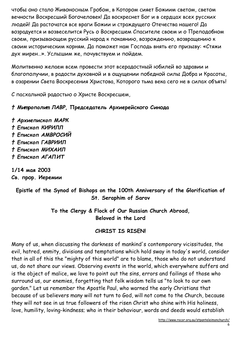чтобы оно стало Живоносным Гробом, в Котором сияет Божиим светом, светом вечности Воскресший Богочеловек! Да воскреснет Бог и в сердцах всех русских людей! Да расточатся все враги Божии и страждущего Отечества нашего! Да возрадуется и возвеселится Русь о Воскресшем Спасителе своем и о Преподобном своем, призывающем русский народ к покаянию, возрождению, возвращению к своим историческим корням. Да поможет нам Господь внять его призыву: «Стяжи дух мирен…». Услышим же, почувствуем и пойдем.

Молитвенно желаем всем провести этот всерадостный юбилей во здравии и благополучии, в радости духовной и в ощущении победной силы Добра и Красоты, в озарении Света Воскресения Христова, Которого тьма века сего не в силах объять!

С пасхальной радостью о Христе Воскресшем,

### † Митрополит ЛАВР, Председатель Архиерейского Синода

† Архиепископ МАРК † Епископ КИРИЛЛ † Епископ АМВРОСИЙ † Епископ ГАВРИИЛ † Епископ МИХАИЛ † Епископ АГАПИТ

1/14 мая 2003 Св. прор. Иеремии

## Epistle of the Synod of Bishops on the 100th Anniversary of the Glorification of St. Seraphim of Sarov

To the Clergy & Flock of Our Russian Church Abroad, Beloved in the Lord

## CHRIST IS RISEN!

Many of us, when discussing the darkness of mankind's contemporary vicissitudes, the evil, hatred, enmity, divisions and temptations which hold sway in today's world, consider that in all of this the "mighty of this world" are to blame, those who do not understand us, do not share our views. Observing events in the world, which everywhere suffers and is the object of malice, we love to point out the sins, errors and failings of those who surround us, our enemies, forgetting that folk wisdom tells us "to look to our own garden." Let us remember the Apostle Paul, who warned the early Christians that because of us believers many will not turn to God, will not come to the Church, because they will not see in us true followers of the risen Christ who shine with His holiness, love, humility, loving-kindness; who in their behaviour, words and deeds would establish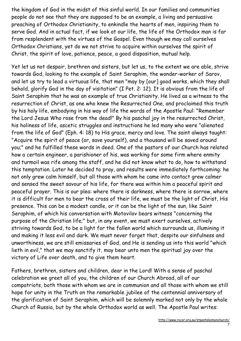the kingdom of God in the midst of this sinful world. In our families and communities people do not see that they are supposed to be an example, a living and persuasive preaching of Orthodox Christianity, to enkindle the hearts of men, inspiring them to serve God. And in actual fact, if we look at our life, the life of the Orthodox man is far from resplendent with the virtues of the Gospel. Even though we may call ourselves Orthodox Christians, yet do we not strive to acquire within ourselves the spirit of Christ, the spirit of love, patience, peace, a good disposition, mutual help.

Yet let us not despair, brethren and sisters, but let us, to the extent we are able, strive towards God, looking to the example of Saint Seraphim, the wonder-worker of Sarov, and let us try to lead a virtuous life, that men "may by [our] good works, which they shall behold, glorify God in the day of visitation" (I Pet. 2: 12). It is obvious from the life of Saint Seraphim that he was an example of true Christianity. He lived as a witness to the resurrection of Christ, as one who knew the Resurrected One, and proclaimed this truth by his holy life, embodying in his way of life the words of the Apostle Paul: "Remember the Lord Jesus Who rose from the dead!" By his paschal joy in the resurrected Christ, his holiness of life, ascetic struggles and instructions he led many who were "alienated from the life of God" (Eph. 4: 18) to His grace, mercy and love. The saint always taught: "Acquire the spirit of peace (or, save yourself), and a thousand will be saved around you;" and he fulfilled these words in deed. One of the pastors of our Church has related how a certain engineer, a parishioner of his, was working for some firm where enmity and turmoil was rife among the staff, and he did not know what to do, how to withstand this temptation. Later he decided to pray, and results were immediately forthcoming: he not only grew calm himself, but all those with whom he came into contact grew calmer and sensed the sweet savour of his life, for there was within him a peaceful spirit and peaceful prayer. This is our plea: where there is darkness, where there is sorrow, where it is difficult for men to bear the cross of their life, we must be the light of Christ, His presence. This can be a modest candle, or it can be the light of the sun, like Saint Seraphim, of which his conversation with Motovilov bears witness "concerning the purpose of the Christian life;" but, in any event, we must exert ourselves, actively striving towards God, to be a light for the fallen world which surrounds us, illumining it and making it less evil and dark. We must never forget that, despite our sinfulness and unworthiness, we are still emissaries of God, and He is sending us into this world "which lieth in evil," that we may sanctify it, may bear unto men the spiritual joy over the victory of Life over death, and to give them heart.

Fathers, brethren, sisters and children, dear in the Lord! With a sense of paschal celebration we greet all of you, the children of our Church Abroad, all of our compatriots, both those with whom we are in communion and all those with whom we still hope for unity in the Truth on the remarkable jubilee of the centennial anniversary of the glorification of Saint Seraphim, which will be solemnly marked not only by the whole Church of Russia, but by the whole Orthodox world as well. The Apostle Paul writes: